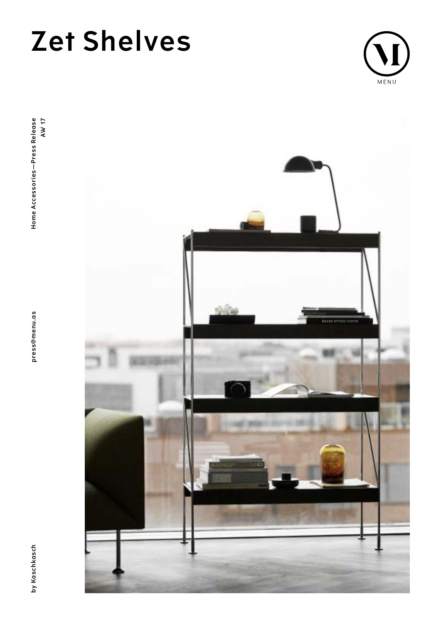# **Zet Shelves**





press@menu.as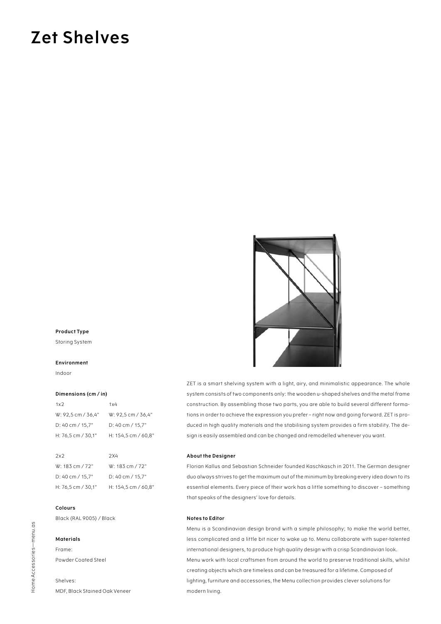# **Zet Shelves**



# **Product Type**

Storing System

#### **Environment**

Indoor

## **Dimensions (cm / in)**

| 1x2                | 1x4                         |
|--------------------|-----------------------------|
| W: 92.5 cm / 36.4" | W: 92,5 cm / 36,4"          |
| D: 40 cm / 15.7"   | $D: 40 \text{ cm} / 15.7$ " |
| H: 76,5 cm / 30,1" | H: 154,5 cm / 60,8"         |

| 2x2                | 2X4                         |
|--------------------|-----------------------------|
| W: 183 cm / 72"    | W: 183 cm / 72"             |
| D: 40 cm / $15.7"$ | $D: 40 \text{ cm} / 15.7$ " |
| H: 76.5 cm / 30.1" | H: 154,5 cm / 60,8"         |

# **Colours**

Black (RAL 9005) / Black

#### **Materials**

Frame: Powder Coated Steel

Shelves: MDF, Black Stained Oak Veneer ZET is a smart shelving system with a light, airy, and minimalistic appearance. The whole system consists of two components only: the wooden u-shaped shelves and the metal frame construction. By assembling those two parts, you are able to build several different formations in order to achieve the expression you prefer – right now and going forward. ZET is produced in high quality materials and the stabilising system provides a firm stability. The design is easily assembled and can be changed and remodelled whenever you want.

### **About the Designer**

Florian Kallus and Sebastian Schneider founded Kaschkasch in 2011. The German designer duo always strives to get the maximum out of the minimum by breaking every idea down to its essential elements. Every piece of their work has a little something to discover – something that speaks of the designers' love for details.

### **Notes to Editor**

Menu is a Scandinavian design brand with a simple philosophy; to make the world better, less complicated and a little bit nicer to wake up to. Menu collaborate with super-talented international designers, to produce high quality design with a crisp Scandinavian look. Menu work with local craftsmen from around the world to preserve traditional skills, whilst creating objects which are timeless and can be treasured for a lifetime. Composed of lighting, furniture and accessories, the Menu collection provides clever solutions for modern living.